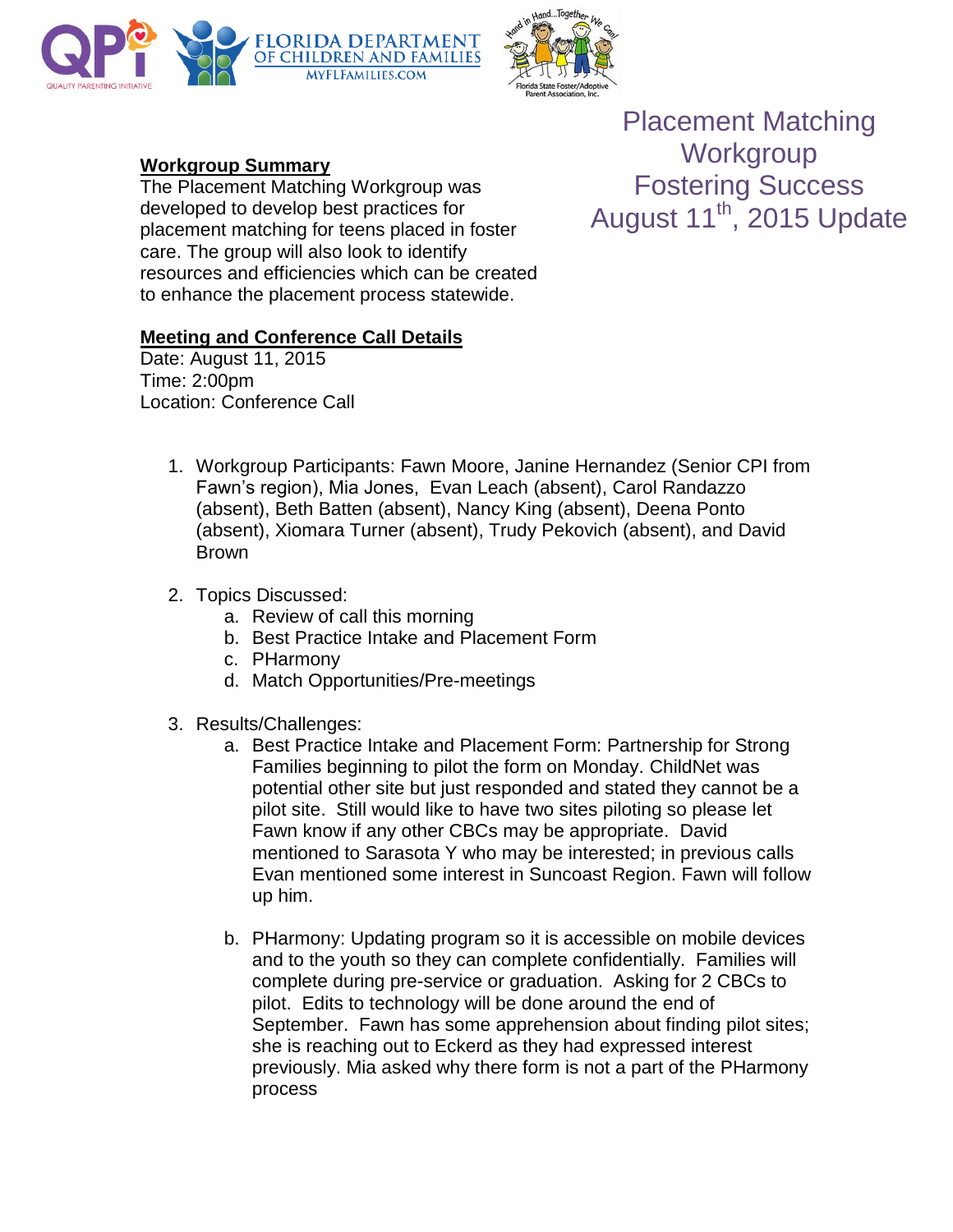



## **Workgroup Summary**

The Placement Matching Workgroup was developed to develop best practices for placement matching for teens placed in foster care. The group will also look to identify resources and efficiencies which can be created to enhance the placement process statewide.

## **Meeting and Conference Call Details**

Date: August 11, 2015 Time: 2:00pm Location: Conference Call

Placement Matching **Workgroup** Fostering Success August 11<sup>th</sup>, 2015 Update

- 1. Workgroup Participants: Fawn Moore, Janine Hernandez (Senior CPI from Fawn's region), Mia Jones, Evan Leach (absent), Carol Randazzo (absent), Beth Batten (absent), Nancy King (absent), Deena Ponto (absent), Xiomara Turner (absent), Trudy Pekovich (absent), and David Brown
- 2. Topics Discussed:
	- a. Review of call this morning
	- b. Best Practice Intake and Placement Form
	- c. PHarmony
	- d. Match Opportunities/Pre-meetings
- 3. Results/Challenges:
	- a. Best Practice Intake and Placement Form: Partnership for Strong Families beginning to pilot the form on Monday. ChildNet was potential other site but just responded and stated they cannot be a pilot site. Still would like to have two sites piloting so please let Fawn know if any other CBCs may be appropriate. David mentioned to Sarasota Y who may be interested; in previous calls Evan mentioned some interest in Suncoast Region. Fawn will follow up him.
	- b. PHarmony: Updating program so it is accessible on mobile devices and to the youth so they can complete confidentially. Families will complete during pre-service or graduation. Asking for 2 CBCs to pilot. Edits to technology will be done around the end of September. Fawn has some apprehension about finding pilot sites; she is reaching out to Eckerd as they had expressed interest previously. Mia asked why there form is not a part of the PHarmony process